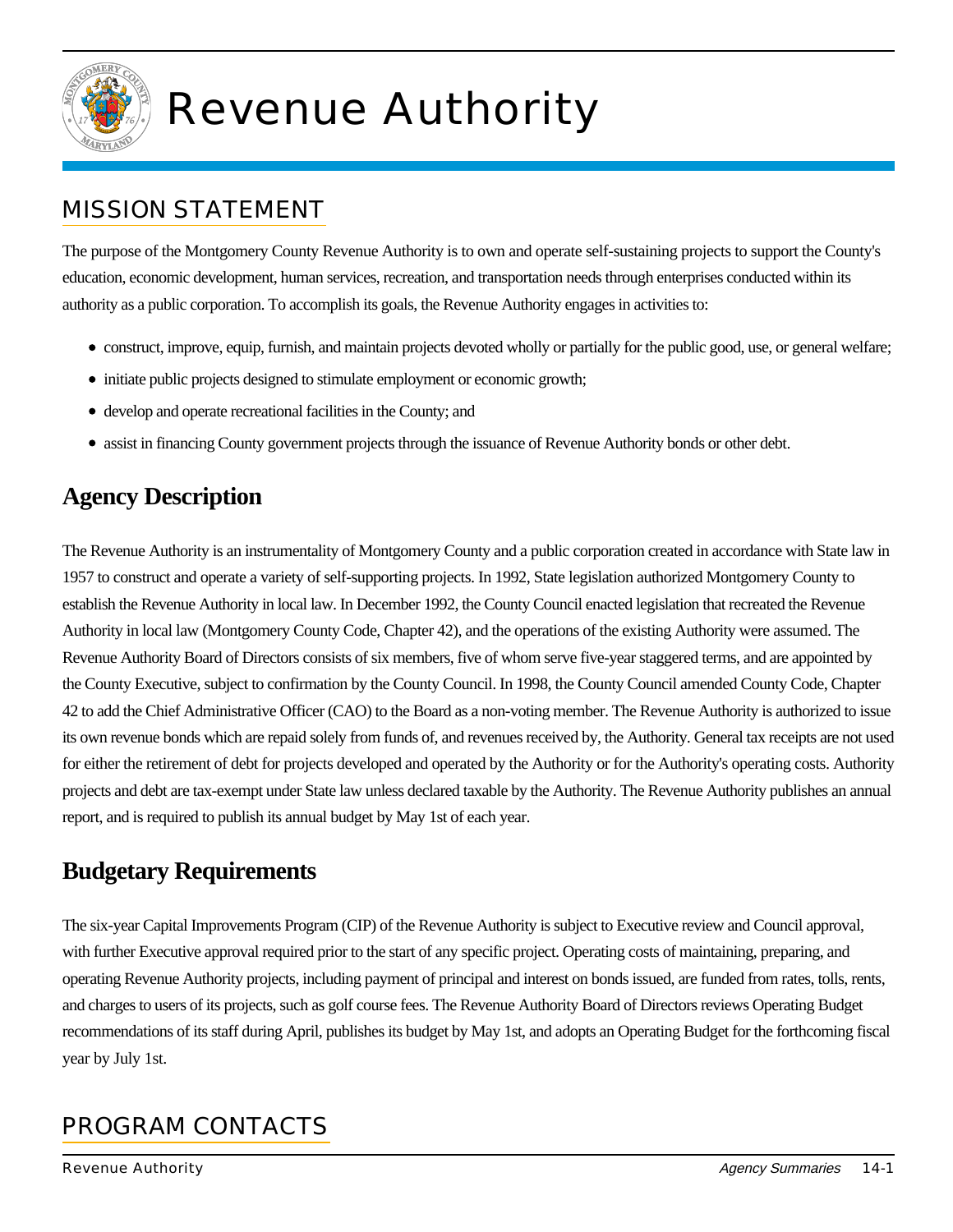

# Revenue Authority

#### MISSION STATEMENT

The purpose of the Montgomery County Revenue Authority is to own and operate self-sustaining projects to support the County's education, economic development, human services, recreation, and transportation needs through enterprises conducted within its authority as a public corporation. To accomplish its goals, the Revenue Authority engages in activities to:

- construct, improve, equip, furnish, and maintain projects devoted wholly or partially for the public good, use, or general welfare;
- initiate public projects designed to stimulate employment or economic growth;
- develop and operate recreational facilities in the County; and
- assist in financing County government projects through the issuance of Revenue Authority bonds or other debt.

#### **Agency Description**

The Revenue Authority is an instrumentality of Montgomery County and a public corporation created in accordance with State law in 1957 to construct and operate a variety of self-supporting projects. In 1992, State legislation authorized Montgomery County to establish the Revenue Authority in local law. In December 1992, the County Council enacted legislation that recreated the Revenue Authority in local law (Montgomery County Code, Chapter 42), and the operations of the existing Authority were assumed. The Revenue Authority Board of Directors consists of six members, five of whom serve five-year staggered terms, and are appointed by the County Executive, subject to confirmation by the County Council. In 1998, the County Council amended County Code, Chapter 42 to add the Chief Administrative Officer (CAO) to the Board as a non-voting member. The Revenue Authority is authorized to issue its own revenue bonds which are repaid solely from funds of, and revenues received by, the Authority. General tax receipts are not used for either the retirement of debt for projects developed and operated by the Authority or for the Authority's operating costs. Authority projects and debt are tax-exempt under State law unless declared taxable by the Authority. The Revenue Authority publishes an annual report, and is required to publish its annual budget by May 1st of each year.

### **Budgetary Requirements**

The six-year Capital Improvements Program (CIP) of the Revenue Authority is subject to Executive review and Council approval, with further Executive approval required prior to the start of any specific project. Operating costs of maintaining, preparing, and operating Revenue Authority projects, including payment of principal and interest on bonds issued, are funded from rates, tolls, rents, and charges to users of its projects, such as golf course fees. The Revenue Authority Board of Directors reviews Operating Budget recommendations of its staff during April, publishes its budget by May 1st, and adopts an Operating Budget for the forthcoming fiscal year by July 1st.

## PROGRAM CONTACTS